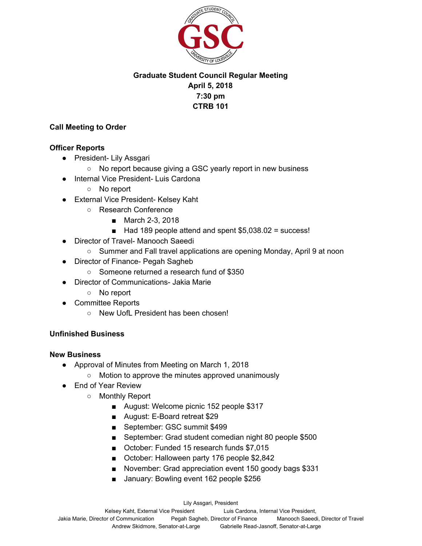

# **Graduate Student Council Regular Meeting April 5, 2018 7:30 pm CTRB 101**

### **Call Meeting to Order**

#### **Officer Reports**

- President- Lily Assgari
	- No report because giving a GSC yearly report in new business
- Internal Vice President- Luis Cardona
	- No report
- External Vice President- Kelsey Kaht
	- Research Conference
		- March 2-3, 2018
		- Had 189 people attend and spent \$5,038.02 = success!
- Director of Travel- Manooch Saeedi
	- Summer and Fall travel applications are opening Monday, April 9 at noon
- Director of Finance- Pegah Sagheb
	- Someone returned a research fund of \$350
- Director of Communications- Jakia Marie
	- No report
- Committee Reports
	- New UofL President has been chosen!

## **Unfinished Business**

#### **New Business**

- Approval of Minutes from Meeting on March 1, 2018
	- Motion to approve the minutes approved unanimously
- End of Year Review
	- Monthly Report
		- August: Welcome picnic 152 people \$317
		- August: E-Board retreat \$29
		- September: GSC summit \$499
		- September: Grad student comedian night 80 people \$500
		- October: Funded 15 research funds \$7,015
		- October: Halloween party 176 people \$2,842
		- November: Grad appreciation event 150 goody bags \$331
		- January: Bowling event 162 people \$256